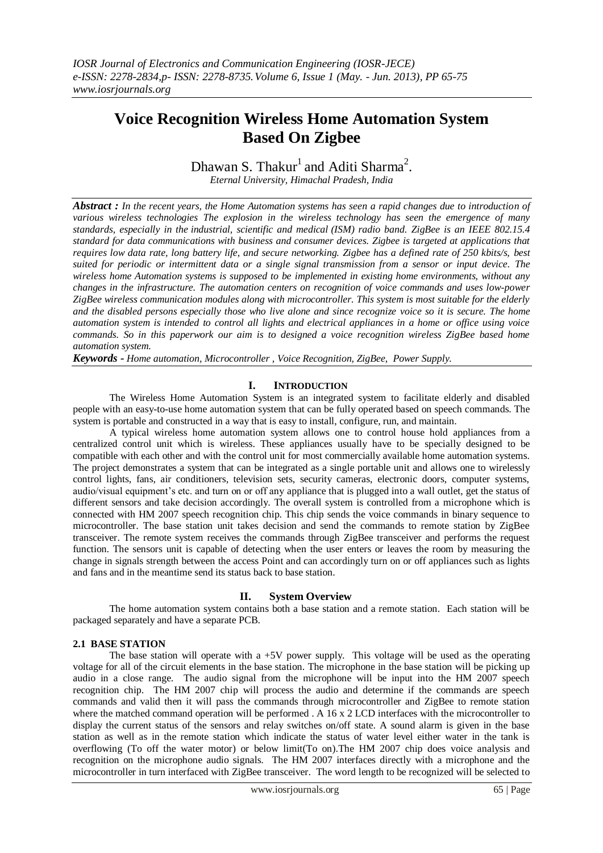# **Voice Recognition Wireless Home Automation System Based On Zigbee**

Dhawan S. Thakur<sup>1</sup> and Aditi Sharma<sup>2</sup>.

*Eternal University, Himachal Pradesh, India*

*Abstract : In the recent years, the Home Automation systems has seen a rapid changes due to introduction of various wireless technologies The explosion in the [wireless technology](http://www.engineersgarage.com/articles/wireless_communication) has seen the emergence of many standards, especially in the industrial, scientific and medical (ISM) radio band. ZigBee is an IEEE 802.15.4 standard for data communications with business and consumer devices. Zigbee is targeted at applications that requires low data rate, long battery life, and secure networking. Zigbee has a defined rate of 250 kbits/s, best suited for periodic or intermittent data or a single signal transmission from a sensor or input device. The wireless home Automation systems is supposed to be implemented in existing home environments, without any changes in the infrastructure. The automation centers on recognition of voice commands and uses low-power ZigBee wireless communication modules along with microcontroller. This system is most suitable for the elderly and the disabled persons especially those who live alone and since recognize voice so it is secure. The home automation system is intended to control all lights and electrical appliances in a home or office using voice commands. So in this paperwork our aim is to designed a voice recognition wireless ZigBee based home automation system.*

*Keywords - Home automation, Microcontroller , Voice Recognition, ZigBee, Power Supply.*

## **I. INTRODUCTION**

The Wireless Home Automation System is an integrated system to facilitate elderly and disabled people with an easy-to-use home automation system that can be fully operated based on speech commands. The system is portable and constructed in a way that is easy to install, configure, run, and maintain.

A typical wireless home automation system allows one to control house hold appliances from a centralized control unit which is wireless. These appliances usually have to be specially designed to be compatible with each other and with the control unit for most commercially available home automation systems. The project demonstrates a system that can be integrated as a single portable unit and allows one to wirelessly control lights, fans, air conditioners, television sets, security cameras, electronic doors, computer systems, audio/visual equipment's etc. and turn on or off any appliance that is plugged into a wall outlet, get the status of different sensors and take decision accordingly. The overall system is controlled from a microphone which is connected with HM 2007 speech recognition chip. This chip sends the voice commands in binary sequence to microcontroller. The base station unit takes decision and send the commands to remote station by ZigBee transceiver. The remote system receives the commands through ZigBee transceiver and performs the request function. The sensors unit is capable of detecting when the user enters or leaves the room by measuring the change in signals strength between the access Point and can accordingly turn on or off appliances such as lights and fans and in the meantime send its status back to base station.

## **II. System Overview**

The home automation system contains both a base station and a remote station. Each station will be packaged separately and have a separate PCB.

## **2.1 BASE STATION**

The base station will operate with a  $+5V$  power supply. This voltage will be used as the operating voltage for all of the circuit elements in the base station. The microphone in the base station will be picking up audio in a close range. The audio signal from the microphone will be input into the HM 2007 speech recognition chip. The HM 2007 chip will process the audio and determine if the commands are speech commands and valid then it will pass the commands through microcontroller and ZigBee to remote station where the matched command operation will be performed . A 16 x 2 LCD interfaces with the microcontroller to display the current status of the sensors and relay switches on/off state. A sound alarm is given in the base station as well as in the remote station which indicate the status of water level either water in the tank is overflowing (To off the water motor) or below limit(To on).The HM 2007 chip does voice analysis and recognition on the microphone audio signals. The HM 2007 interfaces directly with a microphone and the microcontroller in turn interfaced with ZigBee transceiver. The word length to be recognized will be selected to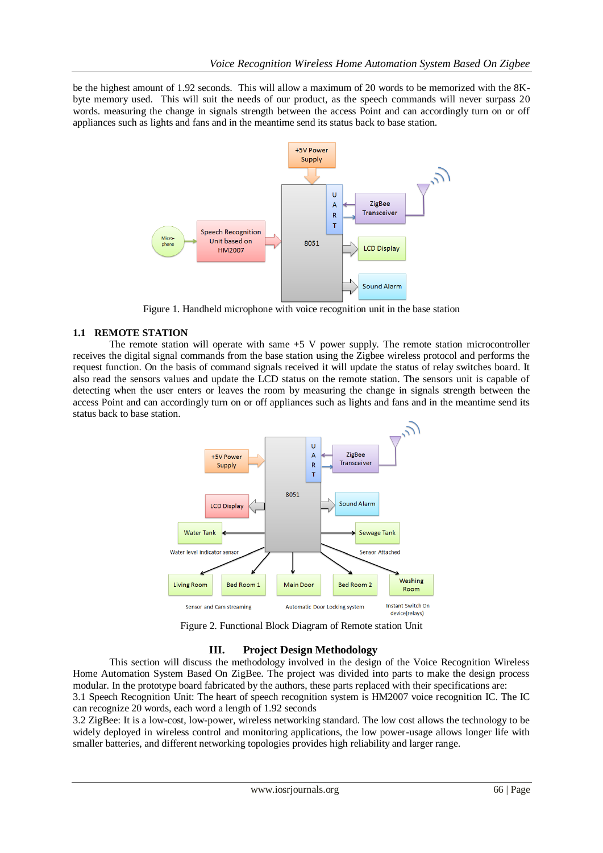be the highest amount of 1.92 seconds. This will allow a maximum of 20 words to be memorized with the 8Kbyte memory used. This will suit the needs of our product, as the speech commands will never surpass 20 words. measuring the change in signals strength between the access Point and can accordingly turn on or off appliances such as lights and fans and in the meantime send its status back to base station.



Figure 1. Handheld microphone with voice recognition unit in the base station

## **1.1 REMOTE STATION**

The remote station will operate with same +5 V power supply. The remote station microcontroller receives the digital signal commands from the base station using the Zigbee wireless protocol and performs the request function. On the basis of command signals received it will update the status of relay switches board. It also read the sensors values and update the LCD status on the remote station. The sensors unit is capable of detecting when the user enters or leaves the room by measuring the change in signals strength between the access Point and can accordingly turn on or off appliances such as lights and fans and in the meantime send its status back to base station.



Figure 2. Functional Block Diagram of Remote station Unit

## **III. Project Design Methodology**

This section will discuss the methodology involved in the design of the Voice Recognition Wireless Home Automation System Based On ZigBee. The project was divided into parts to make the design process modular. In the prototype board fabricated by the authors, these parts replaced with their specifications are:

3.1 Speech Recognition Unit: The heart of speech recognition system is HM2007 voice recognition IC. The IC can recognize 20 words, each word a length of 1.92 seconds

3.2 ZigBee: It is a low-cost, low-power, wireless networking standard. The low cost allows the technology to be widely deployed in wireless control and monitoring applications, the low power-usage allows longer life with smaller batteries, and different networking topologies provides high reliability and larger range.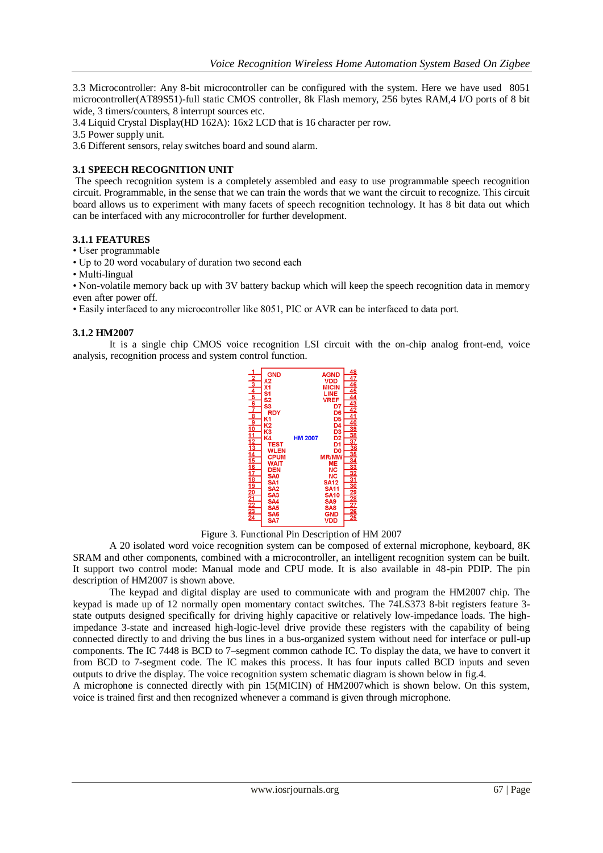3.3 Microcontroller: Any 8-bit microcontroller can be configured with the system. Here we have used 8051 microcontroller(AT89S51)-full static CMOS controller, 8k Flash memory, 256 bytes RAM,4 I/O ports of 8 bit wide, 3 timers/counters, 8 interrupt sources etc.

- 3.4 Liquid Crystal Display(HD 162A): 16x2 LCD that is 16 character per row.
- 3.5 Power supply unit.

3.6 Different sensors, relay switches board and sound alarm.

### **3.1 SPEECH RECOGNITION UNIT**

The speech recognition system is a completely assembled and easy to use programmable speech recognition circuit. Programmable, in the sense that we can train the words that we want the circuit to recognize. This circuit board allows us to experiment with many facets of speech recognition technology. It has 8 bit data out which can be interfaced with any microcontroller for further development.

#### **3.1.1 FEATURES**

• User programmable

• Up to 20 word vocabulary of duration two second each

• Multi-lingual

• Non-volatile memory back up with 3V battery backup which will keep the speech recognition data in memory even after power off.

• Easily interfaced to any microcontroller like 8051, PIC or AVR can be interfaced to data port.

#### **3.1.2 HM2007**

It is a single chip CMOS voice recognition LSI circuit with the on-chip analog front-end, voice analysis, recognition process and system control function.



Figure 3. Functional Pin Description of HM 2007

A 20 isolated word voice recognition system can be composed of external microphone, keyboard, 8K SRAM and other components, combined with a microcontroller, an intelligent recognition system can be built. It support two control mode: Manual mode and CPU mode. It is also available in 48-pin PDIP. The pin description of HM2007 is shown above.

The keypad and digital display are used to communicate with and program the HM2007 chip. The keypad is made up of 12 normally open momentary contact switches. The 74LS373 8-bit registers feature 3 state outputs designed specifically for driving highly capacitive or relatively low-impedance loads. The highimpedance 3-state and increased high-logic-level drive provide these registers with the capability of being connected directly to and driving the bus lines in a bus-organized system without need for interface or pull-up components. The IC 7448 is BCD to 7–segment common cathode IC. To display the data, we have to convert it from BCD to 7-segment code. The IC makes this process. It has four inputs called BCD inputs and seven outputs to drive the display. The voice recognition system schematic diagram is shown below in fig.4.

A microphone is connected directly with pin 15(MICIN) of HM2007which is shown below. On this system, voice is trained first and then recognized whenever a command is given through microphone.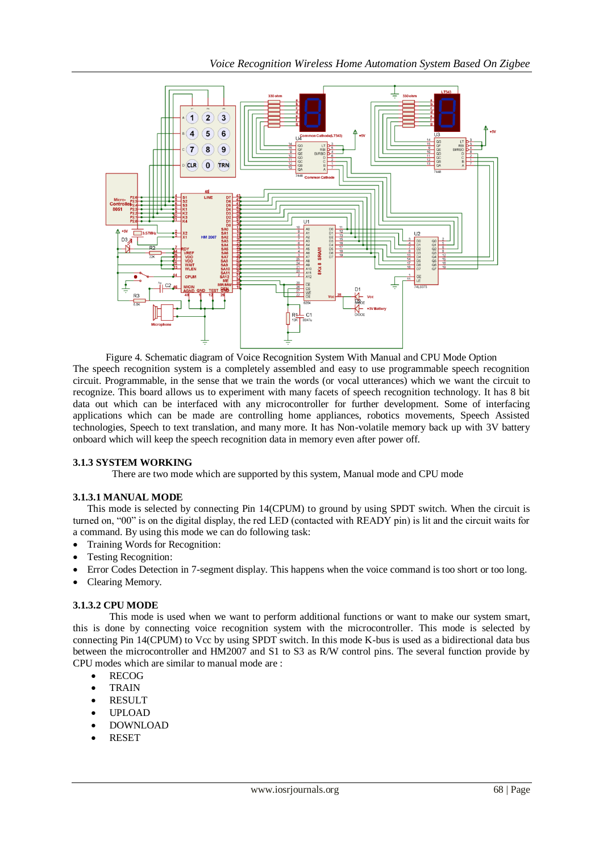

Figure 4. Schematic diagram of Voice Recognition System With Manual and CPU Mode Option The speech recognition system is a completely assembled and easy to use programmable speech recognition circuit. Programmable, in the sense that we train the words (or vocal utterances) which we want the circuit to recognize. This board allows us to experiment with many facets of speech recognition technology. It has 8 bit data out which can be interfaced with any microcontroller for further development. Some of interfacing applications which can be made are controlling home appliances, robotics movements, Speech Assisted technologies, Speech to text translation, and many more. It has Non-volatile memory back up with 3V battery onboard which will keep the speech recognition data in memory even after power off.

## **3.1.3 SYSTEM WORKING**

There are two mode which are supported by this system, Manual mode and CPU mode

#### **3.1.3.1 MANUAL MODE**

This mode is selected by connecting Pin 14(CPUM) to ground by using SPDT switch. When the circuit is turned on, "00" is on the digital display, the red LED (contacted with READY pin) is lit and the circuit waits for a command. By using this mode we can do following task:

- Training Words for Recognition:
- Testing Recognition:
- Error Codes Detection in 7-segment display. This happens when the voice command is too short or too long.
- Clearing Memory.

## **3.1.3.2 CPU MODE**

This mode is used when we want to perform additional functions or want to make our system smart, this is done by connecting voice recognition system with the microcontroller. This mode is selected by connecting Pin 14(CPUM) to Vcc by using SPDT switch. In this mode K-bus is used as a bidirectional data bus between the microcontroller and HM2007 and S1 to S3 as R/W control pins. The several function provide by CPU modes which are similar to manual mode are :

- RECOG
- **TRAIN**
- RESULT
- UPLOAD
- DOWNLOAD
- RESET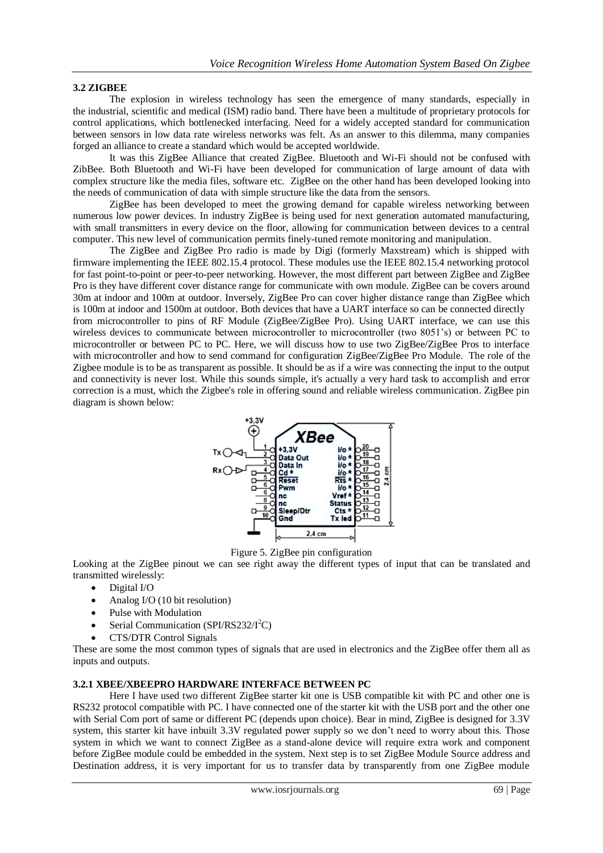### **3.2 ZIGBEE**

The explosion in [wireless technology](http://www.engineersgarage.com/articles/wireless_communication) has seen the emergence of many standards, especially in the industrial, scientific and medical (ISM) radio band. There have been a multitude of proprietary protocols for control applications, which bottlenecked interfacing. Need for a widely accepted standard for communication between sensors in low data rate wireless networks was felt. As an answer to this dilemma, many companies forged an alliance to create a standard which would be accepted worldwide.

It was this ZigBee Alliance that created ZigBee. Bluetooth and Wi-Fi should not be confused with ZibBee. Both Bluetooth and Wi-Fi have been developed for communication of large amount of data with complex structure like the media files, software etc. ZigBee on the other hand has been developed looking into the needs of communication of data with simple structure like the data from the sensors.

ZigBee has been developed to meet the growing demand for capable wireless networking between numerous low power devices. In industry ZigBee is being used for next generation automated manufacturing, with small transmitters in every device on the floor, allowing for communication between devices to a central computer. This new level of communication permits finely-tuned remote monitoring and manipulation.

The ZigBee and ZigBee Pro radio is made by Digi (formerly Maxstream) which is shipped with firmware implementing the IEEE 802.15.4 protocol. These modules use the IEEE 802.15.4 networking protocol for fast point-to-point or peer-to-peer networking. However, the most different part between ZigBee and ZigBee Pro is they have different cover distance range for communicate with own module. ZigBee can be covers around 30m at indoor and 100m at outdoor. Inversely, ZigBee Pro can cover higher distance range than ZigBee which is 100m at indoor and 1500m at outdoor. Both devices that have a UART interface so can be connected directly from microcontroller to pins of RF Module (ZigBee/ZigBee Pro). Using UART interface, we can use this wireless devices to communicate between microcontroller to microcontroller (two 8051's) or between PC to microcontroller or between PC to PC. Here, we will discuss how to use two ZigBee/ZigBee Pros to interface with microcontroller and how to send command for configuration ZigBee/ZigBee Pro Module. The role of the Zigbee module is to be as transparent as possible. It should be as if a wire was connecting the input to the output and connectivity is never lost. While this sounds simple, it's actually a very hard task to accomplish and error correction is a must, which the Zigbee's role in offering sound and reliable wireless communication. ZigBee pin diagram is shown below:



Figure 5. ZigBee pin configuration

Looking at the ZigBee pinout we can see right away the different types of input that can be translated and transmitted wirelessly:

- Digital I/O
- Analog I/O (10 bit resolution)
- Pulse with Modulation
- Serial Communication (SPI/RS232/I<sup>2</sup>C)
- CTS/DTR Control Signals

These are some the most common types of signals that are used in electronics and the ZigBee offer them all as inputs and outputs.

#### **3.2.1 XBEE/XBEEPRO HARDWARE INTERFACE BETWEEN PC**

Here I have used two different ZigBee starter kit one is USB compatible kit with PC and other one is RS232 protocol compatible with PC. I have connected one of the starter kit with the USB port and the other one with Serial Com port of same or different PC (depends upon choice). Bear in mind, ZigBee is designed for 3.3V system, this starter kit have inbuilt 3.3V regulated power supply so we don't need to worry about this. Those system in which we want to connect ZigBee as a stand-alone device will require extra work and component before ZigBee module could be embedded in the system. Next step is to set ZigBee Module Source address and Destination address, it is very important for us to transfer data by transparently from one ZigBee module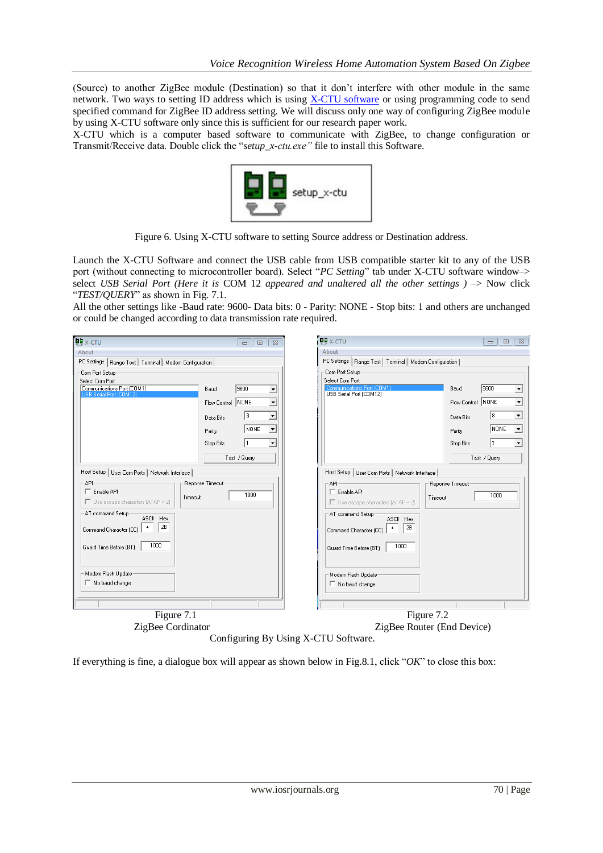(Source) to another ZigBee module (Destination) so that it don't interfere with other module in the same network. Two ways to setting ID address which is using [X-CTU software](http://ftp1.digi.com/support/documentation/90001003_a.pdf) or using programming code to send specified command for ZigBee ID address setting. We will discuss only one way of configuring ZigBee module by using X-CTU software only since this is sufficient for our research paper work.

X-CTU which is a computer based software to communicate with ZigBee, to change configuration or Transmit/Receive data. Double click the "*setup\_x-ctu.exe"* file to install this Software.



Figure 6. Using X-CTU software to setting Source address or Destination address.

Launch the X-CTU Software and connect the USB cable from USB compatible starter kit to any of the USB port (without connecting to microcontroller board). Select "*PC Setting*" tab under X-CTU software window-> select *USB Serial Port (Here it is COM 12 appeared and unaltered all the other settings )*  $\rightarrow$  *Now click* "*TEST/QUERY*" as shown in Fig. 7.1.

All the other settings like -Baud rate: 9600- Data bits: 0 - Parity: NONE - Stop bits: 1 and others are unchanged or could be changed according to data transmission rate required.

| About<br>About<br>PC Settings   Range Test   Terminal   Modem Configuration  <br>PC Settings   Range Test   Terminal   Modem Configuration  <br>Com Port Setup<br>Com Port Setup<br>Select Com Port<br>Select Com Port<br>9600<br>Communications Port (COM1)<br>Communications Port (COM1)<br>9600<br>Baud<br>Baud<br>$\blacktriangledown$<br>≛<br>USB Serial Port (COM12)<br>USB Serial Port (COM12<br>Flow Control NONE<br>$\overline{\phantom{a}}$<br>NONE<br>$\overline{ }$<br>Flow Control<br>8<br>$\overline{\phantom{a}}$<br>8<br>$\overline{ }$<br>Data Bits<br>Data Bits<br>NONE<br>NONE<br>$\overline{ }$<br>$\overline{\phantom{a}}$<br>Parity<br>Parity<br>11<br>Stop Bits<br>Stop Bits<br>$\blacktriangledown$<br>$\blacktriangledown$<br>Test / Query<br>Test / Query<br>Host Setup   User Com Ports   Network Interface<br>Host Setup   User Com Ports   Network Interface  <br>API<br>Reponse Timeout<br>API<br>Reponse Timeout<br>$\Box$ Enable API<br>$\Box$ Enable API<br>1000<br>1000<br>Timeout<br>Timeout<br>$\Box$ Use escape characters (ATAP = 2)<br>$\Box$ Use escape characters (ATAP = 2)<br>AT command Setup<br>AT command Setup<br>ASCII Hex<br>ASCII Hex<br>2B<br>2B<br>$\ddot{}$<br>Command Character (CC)<br>Command Character (CC)<br>1000<br>1000<br>Guard Time Before (BT)<br>Guard Time Before (BT)<br>Modem Flash Update<br>Modem Flash Update<br>$\Box$ No baud change<br>$\Box$ No baud change<br>Figure 7.1<br>Figure 7.2 | <b>DE X-CTU</b>   | $\Box$<br>$\overline{\mathbb{Z}}$<br>$\Box$ | <b>DU</b> <sub>X-CTU</sub> | $\Sigma$<br>$\Box$<br>$\Box$ |  |  |
|--------------------------------------------------------------------------------------------------------------------------------------------------------------------------------------------------------------------------------------------------------------------------------------------------------------------------------------------------------------------------------------------------------------------------------------------------------------------------------------------------------------------------------------------------------------------------------------------------------------------------------------------------------------------------------------------------------------------------------------------------------------------------------------------------------------------------------------------------------------------------------------------------------------------------------------------------------------------------------------------------------------------------------------------------------------------------------------------------------------------------------------------------------------------------------------------------------------------------------------------------------------------------------------------------------------------------------------------------------------------------------------------------------------------------------------------------------------------|-------------------|---------------------------------------------|----------------------------|------------------------------|--|--|
|                                                                                                                                                                                                                                                                                                                                                                                                                                                                                                                                                                                                                                                                                                                                                                                                                                                                                                                                                                                                                                                                                                                                                                                                                                                                                                                                                                                                                                                                    |                   |                                             |                            |                              |  |  |
|                                                                                                                                                                                                                                                                                                                                                                                                                                                                                                                                                                                                                                                                                                                                                                                                                                                                                                                                                                                                                                                                                                                                                                                                                                                                                                                                                                                                                                                                    |                   |                                             |                            |                              |  |  |
|                                                                                                                                                                                                                                                                                                                                                                                                                                                                                                                                                                                                                                                                                                                                                                                                                                                                                                                                                                                                                                                                                                                                                                                                                                                                                                                                                                                                                                                                    |                   |                                             |                            |                              |  |  |
|                                                                                                                                                                                                                                                                                                                                                                                                                                                                                                                                                                                                                                                                                                                                                                                                                                                                                                                                                                                                                                                                                                                                                                                                                                                                                                                                                                                                                                                                    |                   |                                             |                            |                              |  |  |
|                                                                                                                                                                                                                                                                                                                                                                                                                                                                                                                                                                                                                                                                                                                                                                                                                                                                                                                                                                                                                                                                                                                                                                                                                                                                                                                                                                                                                                                                    |                   |                                             |                            |                              |  |  |
|                                                                                                                                                                                                                                                                                                                                                                                                                                                                                                                                                                                                                                                                                                                                                                                                                                                                                                                                                                                                                                                                                                                                                                                                                                                                                                                                                                                                                                                                    |                   |                                             |                            |                              |  |  |
|                                                                                                                                                                                                                                                                                                                                                                                                                                                                                                                                                                                                                                                                                                                                                                                                                                                                                                                                                                                                                                                                                                                                                                                                                                                                                                                                                                                                                                                                    |                   |                                             |                            |                              |  |  |
|                                                                                                                                                                                                                                                                                                                                                                                                                                                                                                                                                                                                                                                                                                                                                                                                                                                                                                                                                                                                                                                                                                                                                                                                                                                                                                                                                                                                                                                                    |                   |                                             |                            |                              |  |  |
|                                                                                                                                                                                                                                                                                                                                                                                                                                                                                                                                                                                                                                                                                                                                                                                                                                                                                                                                                                                                                                                                                                                                                                                                                                                                                                                                                                                                                                                                    |                   |                                             |                            |                              |  |  |
|                                                                                                                                                                                                                                                                                                                                                                                                                                                                                                                                                                                                                                                                                                                                                                                                                                                                                                                                                                                                                                                                                                                                                                                                                                                                                                                                                                                                                                                                    |                   |                                             |                            |                              |  |  |
|                                                                                                                                                                                                                                                                                                                                                                                                                                                                                                                                                                                                                                                                                                                                                                                                                                                                                                                                                                                                                                                                                                                                                                                                                                                                                                                                                                                                                                                                    |                   |                                             |                            |                              |  |  |
|                                                                                                                                                                                                                                                                                                                                                                                                                                                                                                                                                                                                                                                                                                                                                                                                                                                                                                                                                                                                                                                                                                                                                                                                                                                                                                                                                                                                                                                                    |                   |                                             |                            |                              |  |  |
|                                                                                                                                                                                                                                                                                                                                                                                                                                                                                                                                                                                                                                                                                                                                                                                                                                                                                                                                                                                                                                                                                                                                                                                                                                                                                                                                                                                                                                                                    |                   |                                             |                            |                              |  |  |
|                                                                                                                                                                                                                                                                                                                                                                                                                                                                                                                                                                                                                                                                                                                                                                                                                                                                                                                                                                                                                                                                                                                                                                                                                                                                                                                                                                                                                                                                    |                   |                                             |                            |                              |  |  |
|                                                                                                                                                                                                                                                                                                                                                                                                                                                                                                                                                                                                                                                                                                                                                                                                                                                                                                                                                                                                                                                                                                                                                                                                                                                                                                                                                                                                                                                                    |                   |                                             |                            |                              |  |  |
|                                                                                                                                                                                                                                                                                                                                                                                                                                                                                                                                                                                                                                                                                                                                                                                                                                                                                                                                                                                                                                                                                                                                                                                                                                                                                                                                                                                                                                                                    |                   |                                             |                            |                              |  |  |
|                                                                                                                                                                                                                                                                                                                                                                                                                                                                                                                                                                                                                                                                                                                                                                                                                                                                                                                                                                                                                                                                                                                                                                                                                                                                                                                                                                                                                                                                    |                   |                                             |                            |                              |  |  |
|                                                                                                                                                                                                                                                                                                                                                                                                                                                                                                                                                                                                                                                                                                                                                                                                                                                                                                                                                                                                                                                                                                                                                                                                                                                                                                                                                                                                                                                                    |                   |                                             |                            |                              |  |  |
|                                                                                                                                                                                                                                                                                                                                                                                                                                                                                                                                                                                                                                                                                                                                                                                                                                                                                                                                                                                                                                                                                                                                                                                                                                                                                                                                                                                                                                                                    |                   |                                             |                            |                              |  |  |
|                                                                                                                                                                                                                                                                                                                                                                                                                                                                                                                                                                                                                                                                                                                                                                                                                                                                                                                                                                                                                                                                                                                                                                                                                                                                                                                                                                                                                                                                    |                   |                                             |                            |                              |  |  |
|                                                                                                                                                                                                                                                                                                                                                                                                                                                                                                                                                                                                                                                                                                                                                                                                                                                                                                                                                                                                                                                                                                                                                                                                                                                                                                                                                                                                                                                                    |                   |                                             |                            |                              |  |  |
|                                                                                                                                                                                                                                                                                                                                                                                                                                                                                                                                                                                                                                                                                                                                                                                                                                                                                                                                                                                                                                                                                                                                                                                                                                                                                                                                                                                                                                                                    |                   |                                             |                            |                              |  |  |
|                                                                                                                                                                                                                                                                                                                                                                                                                                                                                                                                                                                                                                                                                                                                                                                                                                                                                                                                                                                                                                                                                                                                                                                                                                                                                                                                                                                                                                                                    |                   |                                             |                            |                              |  |  |
|                                                                                                                                                                                                                                                                                                                                                                                                                                                                                                                                                                                                                                                                                                                                                                                                                                                                                                                                                                                                                                                                                                                                                                                                                                                                                                                                                                                                                                                                    | ZigBee Cordinator |                                             |                            | ZigBee Router (End Device)   |  |  |

Configuring By Using X-CTU Software.

If everything is fine, a dialogue box will appear as shown below in Fig.8.1, click "*OK*" to close this box: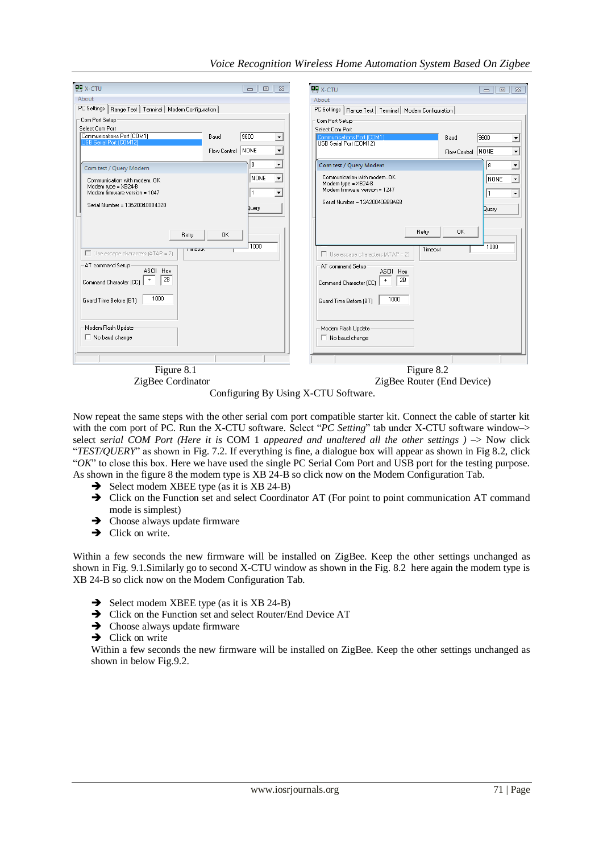| <b>UU</b> X-CTU                                                                                                                                                                                                                                                      | $\Sigma$<br>$\Box$<br>$\Box$                                                                                                                                   | <b>UU</b> X-CTU                                                                                                                                                                                                                                                           | $\boxed{\square}$<br>$\Sigma$<br>$\Box$                                                                                   |
|----------------------------------------------------------------------------------------------------------------------------------------------------------------------------------------------------------------------------------------------------------------------|----------------------------------------------------------------------------------------------------------------------------------------------------------------|---------------------------------------------------------------------------------------------------------------------------------------------------------------------------------------------------------------------------------------------------------------------------|---------------------------------------------------------------------------------------------------------------------------|
| About                                                                                                                                                                                                                                                                |                                                                                                                                                                | About                                                                                                                                                                                                                                                                     |                                                                                                                           |
| PC Settings   Range Test   Terminal   Modem Configuration                                                                                                                                                                                                            |                                                                                                                                                                | PC Settings   Range Test   Terminal   Modem Configuration                                                                                                                                                                                                                 |                                                                                                                           |
| Com Port Setup<br>Select Com Port<br>Communications Port (COM1)<br>Baud<br>USB Serial Port (COM12)<br>Flow Control<br>Com test / Query Modem<br>Communication with modemOK<br>Modem type = XB24-B<br>Modem firmware version = 1047<br>Serial Number = 13A200408B4320 | 9600<br>$\blacktriangledown$<br>NONE<br>$\blacktriangledown$<br>8<br>$\blacktriangledown$<br>NONE<br>$\overline{\phantom{a}}$<br>$\blacktriangledown$<br>Query | Com Port Setup<br>Select Com Port<br>Communications Port (COM1)<br>Baud<br>USB Serial Port (COM12)<br>Flow Control NONE<br>Com test / Query Modem<br>Communication with modemOK<br>Modem type = XB24-B<br>Modem firmware version = 1247<br>Serial Number = 13A200408B9A68 | 9600<br>츠<br>⊡<br>$\overline{ }$<br>18<br>$\overline{\phantom{0}}$<br>Inone<br>I۱<br>$\blacktriangledown$<br><b>Duery</b> |
| 0K<br>Retry<br>rmeout<br>$\Box$ Use escape characters (ATAP = 2)<br>AT command Setup<br>ASCII Hex<br>2B<br>$\ddot{}$<br>Command Character (CC)<br>1000<br>Guard Time Before (BT)<br>Modem Flash Update<br>$\Box$ No baud change                                      | 1000                                                                                                                                                           | Retry<br><b>OK</b><br>Timeout<br>$\Box$ Use escape characters (ATAP = 2)<br>AT command Setup<br>ASCII Hex<br>2B<br>$\begin{array}{c} + \end{array}$<br>Command Character (CC)<br>1000<br>Guard Time Before (BT)<br>Modem Flash Update<br>$\Box$ No baud change            | 1000                                                                                                                      |
| Figure 8.1                                                                                                                                                                                                                                                           |                                                                                                                                                                | Figure 8.2                                                                                                                                                                                                                                                                |                                                                                                                           |

## *Voice Recognition Wireless Home Automation System Based On Zigbee*

ZigBee Cordinator ZigBee Router (End Device)

Configuring By Using X-CTU Software.

Now repeat the same steps with the other serial com port compatible starter kit. Connect the cable of starter kit with the com port of PC. Run the X-CTU software. Select "*PC Setting*" tab under X-CTU software window-> select *serial COM Port (Here it is COM 1 appeared and unaltered all the other settings )*  $\rightarrow$  *Now click* "*TEST/QUERY*" as shown in Fig. 7.2. If everything is fine, a dialogue box will appear as shown in Fig 8.2, click "*OK*" to close this box. Here we have used the single PC Serial Com Port and USB port for the testing purpose. As shown in the figure 8 the modem type is XB 24-B so click now on the Modem Configuration Tab.

- $\rightarrow$  Select modem XBEE type (as it is XB 24-B)
- → Click on the Function set and select Coordinator AT (For point to point communication AT command mode is simplest)
- $\rightarrow$  Choose always update firmware
- $\rightarrow$  Click on write.

Within a few seconds the new firmware will be installed on ZigBee. Keep the other settings unchanged as shown in Fig. 9.1.Similarly go to second X-CTU window as shown in the Fig. 8.2 here again the modem type is XB 24-B so click now on the Modem Configuration Tab.

- $\rightarrow$  Select modem XBEE type (as it is XB 24-B)
- $\rightarrow$  Click on the Function set and select Router/End Device AT
- $\rightarrow$  Choose always update firmware
- $\rightarrow$  Click on write

Within a few seconds the new firmware will be installed on ZigBee. Keep the other settings unchanged as shown in below Fig.9.2.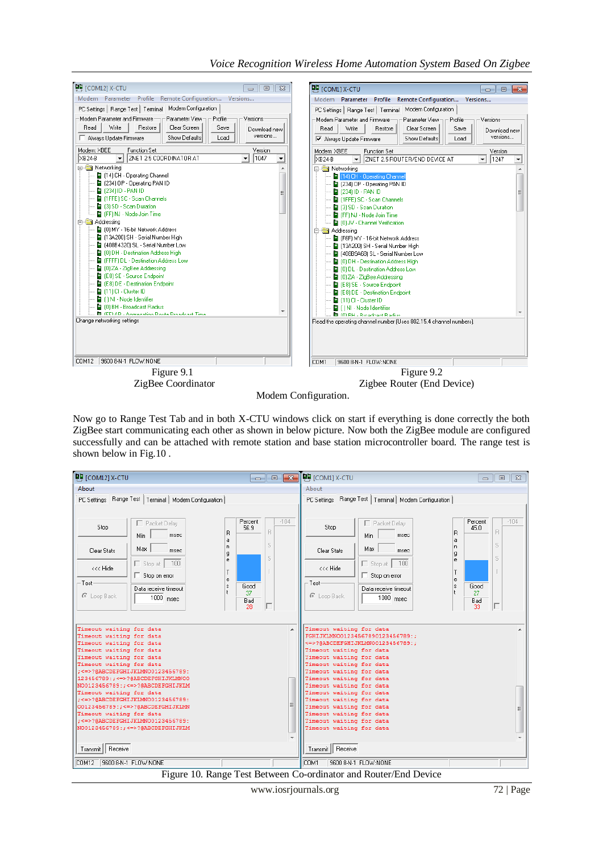



Modem Configuration.

Now go to Range Test Tab and in both X-CTU windows click on start if everything is done correctly the both ZigBee start communicating each other as shown in below picture. Now both the ZigBee module are configured successfully and can be attached with remote station and base station microcontroller board. The range test is shown below in Fig.10 .

| DU [COM12] X-CTU                                                                                                                                                                                                             |                                                                                                                                                                                                                                                                          | $\begin{array}{c c c c c c} \hline \multicolumn{3}{c }{\textbf{}} & \multicolumn{3}{c }{\textbf{}} & \multicolumn{3}{c }{\textbf{}} \end{array}$ | $\P$ U [COM1] X-CTU                                                                                                                                                                                                                                                                                                                                                                                                                              | $\Box$<br>$\mathbb{Z}^2$<br>$\Box$                                  |
|------------------------------------------------------------------------------------------------------------------------------------------------------------------------------------------------------------------------------|--------------------------------------------------------------------------------------------------------------------------------------------------------------------------------------------------------------------------------------------------------------------------|--------------------------------------------------------------------------------------------------------------------------------------------------|--------------------------------------------------------------------------------------------------------------------------------------------------------------------------------------------------------------------------------------------------------------------------------------------------------------------------------------------------------------------------------------------------------------------------------------------------|---------------------------------------------------------------------|
| About                                                                                                                                                                                                                        |                                                                                                                                                                                                                                                                          |                                                                                                                                                  | About                                                                                                                                                                                                                                                                                                                                                                                                                                            |                                                                     |
| Stop<br>Clear Stats<br><<< Hide<br>- Test<br>C Loop Back                                                                                                                                                                     | PC Settings Range Test   Terminal   Modem Configuration  <br>Packet Delay<br>Min<br>msec<br>Max<br>msec<br>100<br>$\Box$ Stop at<br>$\Box$ Stop on error<br>Data receive timeout<br>$1000$ msec                                                                          | $-104$<br>Percent<br>56.9<br>B<br>R<br>a<br>S<br>n<br>g<br>S.<br>e<br>T<br>e<br>Good<br>s.<br>37<br>Bad<br>28                                    | PC Settings   Range Test   Terminal   Modem Configuration  <br>Packet Delay<br>Stop<br>R<br>Min<br>msec<br>a<br>n<br>Max<br>Clear Stats<br>msec<br>g<br>e<br>100<br>$\Box$ Stop at $\Box$<br><<< Hide<br>Stop on error<br>e<br>⊤Test·<br>Data receive timeout<br>C Loop Back<br>$1000$ msec                                                                                                                                                      | $-104$<br>Percent<br>45.0<br>B<br>S<br>S<br>Good<br>27<br>Bad<br>33 |
| Timeout waiting for data<br>Timeout waiting for data<br>Timeout waiting for data<br>Timeout waiting for data<br>Timeout waiting for data<br>Timeout waiting for data<br>Timeout waiting for data<br>Timeout waiting for data | ; <= > ?@ABCDEFGHIJKLMN00123456789:<br>123456789:; <=>?@ABCDEFGHIJKLMNOO<br>NO0123456789: : <=>?@ABCDEFGHIJKLM<br>: <= > ? @ABCDEFGHIJKLMN00123456789:<br>O0123456789:; <= >?@ABCDEFGHIJKLMN<br>: <= > ?@ABCDEFGHIJKLMN00123456789:<br>NO0123456789:; <=>?@ABCDEFGHIJKLM | Ξ                                                                                                                                                | Timeout waiting for data<br>FGHIJKLMNO01234567890123456789:;<br><=>?@ABCDEFGHIJKLMNO0123456789:;<br>Timeout waiting for data<br>Timeout waiting for data<br>Timeout waiting for data<br>Timeout waiting for data<br>Timeout waiting for data<br>Timeout waiting for data<br>Timeout waiting for data<br>Timeout waiting for data<br>Timeout waiting for data<br>Timeout waiting for data<br>Timeout waiting for data<br>Timeout waiting for data |                                                                     |
| Transmit   Receive                                                                                                                                                                                                           |                                                                                                                                                                                                                                                                          |                                                                                                                                                  | Transmit   Receive                                                                                                                                                                                                                                                                                                                                                                                                                               |                                                                     |
| COM12                                                                                                                                                                                                                        | 9600 8-N-1 FLOW:NONE                                                                                                                                                                                                                                                     |                                                                                                                                                  | COM1<br>9600 8-N-1 FLOW:NONE                                                                                                                                                                                                                                                                                                                                                                                                                     |                                                                     |

Figure 10. Range Test Between Co-ordinator and Router/End Device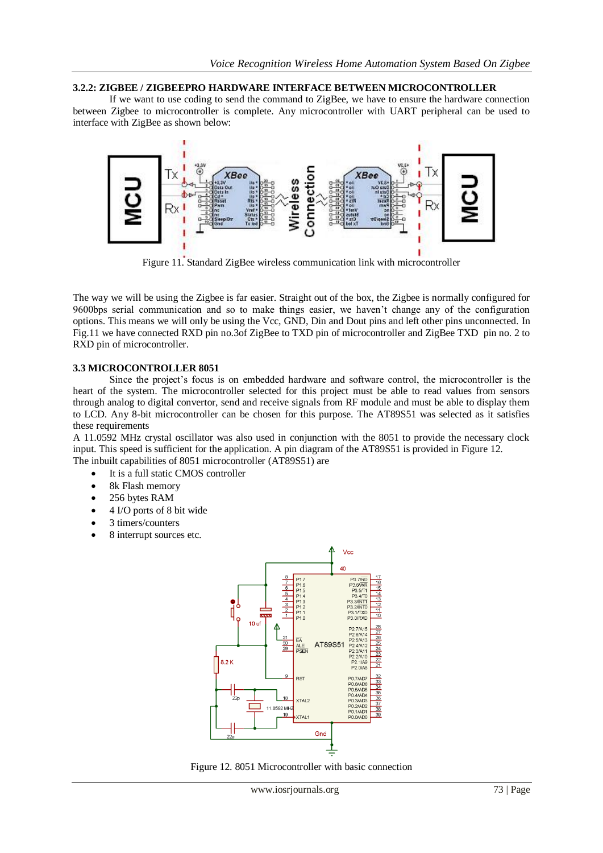#### **3.2.2: ZIGBEE / ZIGBEEPRO HARDWARE INTERFACE BETWEEN MICROCONTROLLER**

If we want to use coding to send the command to ZigBee, we have to ensure the hardware connection between Zigbee to microcontroller is complete. Any microcontroller with UART peripheral can be used to interface with ZigBee as shown below:



Figure 11. Standard ZigBee wireless communication link with microcontroller

The way we will be using the Zigbee is far easier. Straight out of the box, the Zigbee is normally configured for 9600bps serial communication and so to make things easier, we haven't change any of the configuration options. This means we will only be using the Vcc, GND, Din and Dout pins and left other pins unconnected. In Fig.11 we have connected RXD pin no.3of ZigBee to TXD pin of microcontroller and ZigBee TXD pin no. 2 to RXD pin of microcontroller.

## **3.3 MICROCONTROLLER 8051**

Since the project's focus is on embedded hardware and software control, the microcontroller is the heart of the system. The microcontroller selected for this project must be able to read values from sensors through analog to digital convertor, send and receive signals from RF module and must be able to display them to LCD. Any 8-bit microcontroller can be chosen for this purpose. The AT89S51 was selected as it satisfies these requirements

A 11.0592 MHz crystal oscillator was also used in conjunction with the 8051 to provide the necessary clock input. This speed is sufficient for the application. A pin diagram of the AT89S51 is provided in Figure 12. The inbuilt capabilities of 8051 microcontroller (AT89S51) are

- It is a full static CMOS controller
- 8k Flash memory
- 256 bytes RAM
- 4 I/O ports of 8 bit wide
- 3 timers/counters
- 8 interrupt sources etc.



Figure 12. 8051 Microcontroller with basic connection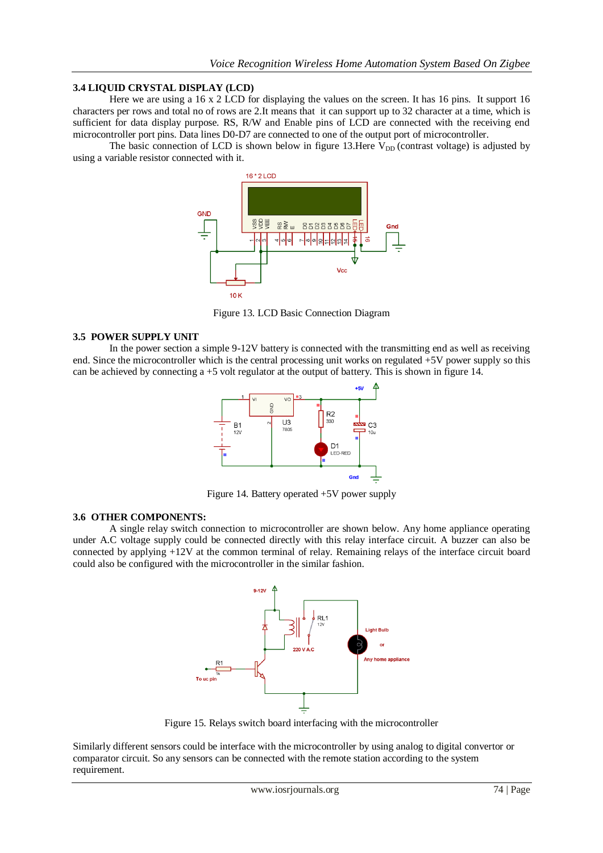#### **3.4 LIQUID CRYSTAL DISPLAY (LCD)**

Here we are using a 16 x 2 LCD for displaying the values on the screen. It has 16 pins. It support 16 characters per rows and total no of rows are 2.It means that it can support up to 32 character at a time, which is sufficient for data display purpose. RS, R/W and Enable pins of LCD are connected with the receiving end microcontroller port pins. Data lines D0-D7 are connected to one of the output port of microcontroller.

The basic connection of LCD is shown below in figure 13.Here  $V_{DD}$  (contrast voltage) is adjusted by using a variable resistor connected with it.



Figure 13. LCD Basic Connection Diagram

#### **3.5 POWER SUPPLY UNIT**

In the power section a simple 9-12V battery is connected with the transmitting end as well as receiving end. Since the microcontroller which is the central processing unit works on regulated +5V power supply so this can be achieved by connecting a +5 volt regulator at the output of battery. This is shown in figure 14.



Figure 14. Battery operated +5V power supply

#### **3.6 OTHER COMPONENTS:**

A single relay switch connection to microcontroller are shown below. Any home appliance operating under A.C voltage supply could be connected directly with this relay interface circuit. A buzzer can also be connected by applying +12V at the common terminal of relay. Remaining relays of the interface circuit board could also be configured with the microcontroller in the similar fashion.



Figure 15. Relays switch board interfacing with the microcontroller

Similarly different sensors could be interface with the microcontroller by using analog to digital convertor or comparator circuit. So any sensors can be connected with the remote station according to the system requirement.